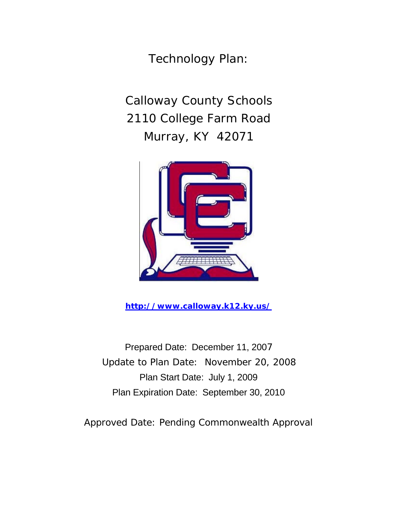Technology Plan:

Calloway County Schools 2110 College Farm Road Murray, KY 42071



**http://www.calloway.k12.ky.us/** 

Prepared Date: December 11, 2007 Update to Plan Date: November 20, 2008 Plan Start Date: July 1, 2009 Plan Expiration Date: September 30, 2010

Approved Date: Pending Commonwealth Approval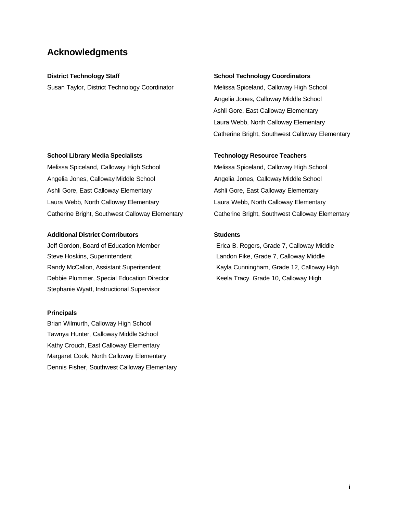## **Acknowledgments**

Susan Taylor, District Technology Coordinator **Melissa Spiceland, Calloway High School** 

#### **District Technology Staff School Technology Coordinators**  School Technology Coordinators

Angelia Jones, Calloway Middle School Ashli Gore, East Calloway Elementary Laura Webb, North Calloway Elementary Catherine Bright, Southwest Calloway Elementary

#### **School Library Media Specialists Technology Resource Teachers**

Melissa Spiceland, Calloway High School Melissa Spiceland, Calloway High School Angelia Jones, Calloway Middle School **Angelia Jones, Calloway Middle School** Angelia Jones, Calloway Middle School Ashli Gore, East Calloway Elementary **Ashli Gore, East Calloway Elementary** Ashli Gore, East Calloway Elementary Laura Webb, North Calloway Elementary Laura Webb, North Calloway Elementary

#### Additional District Contributors **National Students**

Jeff Gordon, Board of Education Member Erica B. Rogers, Grade 7, Calloway Middle Steve Hoskins, Superintendent Landon Fike, Grade 7, Calloway Middle Randy McCallon, Assistant Superitendent Kayla Cunningham, Grade 12, Calloway High Debbie Plummer, Special Education Director **Keela Tracy. Grade 10, Calloway High** Stephanie Wyatt, Instructional Supervisor

#### **Principals**

Brian Wilmurth, Calloway High School Tawnya Hunter, Calloway Middle School Kathy Crouch, East Calloway Elementary Margaret Cook, North Calloway Elementary Dennis Fisher, Southwest Calloway Elementary

Catherine Bright, Southwest Calloway Elementary Catherine Bright, Southwest Calloway Elementary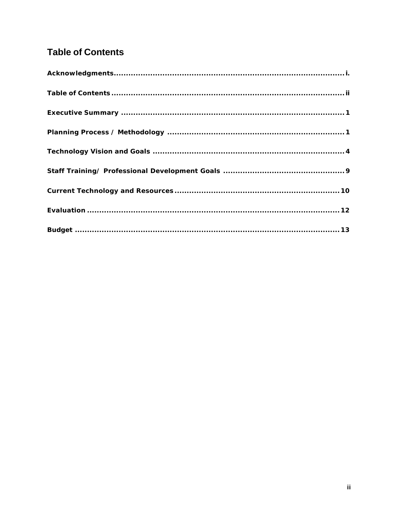# **Table of Contents**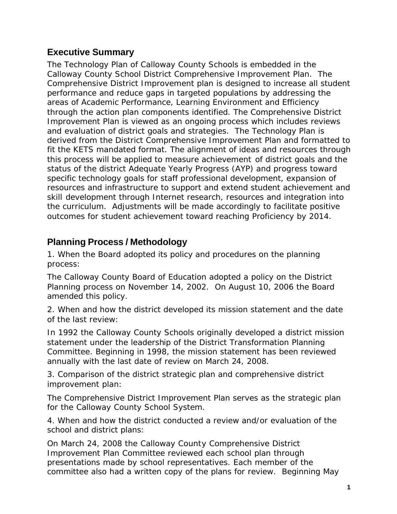# **Executive Summary**

The Technology Plan of Calloway County Schools is embedded in the Calloway County School District Comprehensive Improvement Plan. The Comprehensive District Improvement plan is designed to increase all student performance and reduce gaps in targeted populations by addressing the areas of Academic Performance, Learning Environment and Efficiency through the action plan components identified. The Comprehensive District Improvement Plan is viewed as an ongoing process which includes reviews and evaluation of district goals and strategies. The Technology Plan is derived from the District Comprehensive Improvement Plan and formatted to fit the KETS mandated format. The alignment of ideas and resources through this process will be applied to measure achievement of district goals and the status of the district Adequate Yearly Progress (AYP) and progress toward specific technology goals for staff professional development, expansion of resources and infrastructure to support and extend student achievement and skill development through Internet research, resources and integration into the curriculum. Adjustments will be made accordingly to facilitate positive outcomes for student achievement toward reaching Proficiency by 2014.

# **Planning Process / Methodology**

1. When the Board adopted its policy and procedures on the planning process:

The Calloway County Board of Education adopted a policy on the District Planning process on November 14, 2002. On August 10, 2006 the Board amended this policy.

2. When and how the district developed its mission statement and the date of the last review:

In 1992 the Calloway County Schools originally developed a district mission statement under the leadership of the District Transformation Planning Committee. Beginning in 1998, the mission statement has been reviewed annually with the last date of review on March 24, 2008.

3. Comparison of the district strategic plan and comprehensive district improvement plan:

The Comprehensive District Improvement Plan serves as the strategic plan for the Calloway County School System.

4. When and how the district conducted a review and/or evaluation of the school and district plans:

On March 24, 2008 the Calloway County Comprehensive District Improvement Plan Committee reviewed each school plan through presentations made by school representatives. Each member of the committee also had a written copy of the plans for review. Beginning May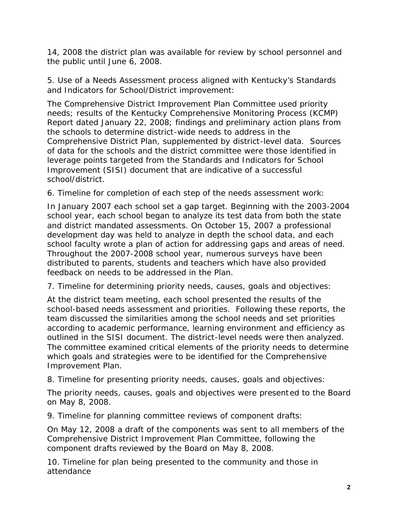14, 2008 the district plan was available for review by school personnel and the public until June 6, 2008.

5. Use of a Needs Assessment process aligned with Kentucky's Standards and Indicators for School/District improvement:

The Comprehensive District Improvement Plan Committee used priority needs; results of the Kentucky Comprehensive Monitoring Process (KCMP) Report dated January 22, 2008; findings and preliminary action plans from the schools to determine district-wide needs to address in the Comprehensive District Plan, supplemented by district-level data. Sources of data for the schools and the district committee were those identified in leverage points targeted from the Standards and Indicators for School Improvement (SISI) document that are indicative of a successful school/district.

6. Timeline for completion of each step of the needs assessment work:

In January 2007 each school set a gap target. Beginning with the 2003-2004 school year, each school began to analyze its test data from both the state and district mandated assessments. On October 15, 2007 a professional development day was held to analyze in depth the school data, and each school faculty wrote a plan of action for addressing gaps and areas of need. Throughout the 2007-2008 school year, numerous surveys have been distributed to parents, students and teachers which have also provided feedback on needs to be addressed in the Plan.

7. Timeline for determining priority needs, causes, goals and objectives:

At the district team meeting, each school presented the results of the school-based needs assessment and priorities. Following these reports, the team discussed the similarities among the school needs and set priorities according to academic performance, learning environment and efficiency as outlined in the SISI document. The district-level needs were then analyzed. The committee examined critical elements of the priority needs to determine which goals and strategies were to be identified for the Comprehensive Improvement Plan.

8. Timeline for presenting priority needs, causes, goals and objectives:

The priority needs, causes, goals and objectives were presented to the Board on May 8, 2008.

9. Timeline for planning committee reviews of component drafts:

On May 12, 2008 a draft of the components was sent to all members of the Comprehensive District Improvement Plan Committee, following the component drafts reviewed by the Board on May 8, 2008.

10. Timeline for plan being presented to the community and those in attendance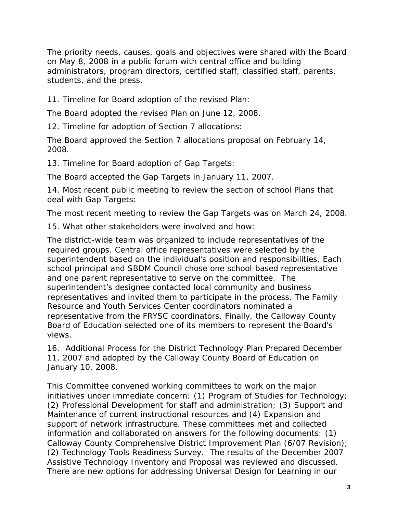The priority needs, causes, goals and objectives were shared with the Board on May 8, 2008 in a public forum with central office and building administrators, program directors, certified staff, classified staff, parents, students, and the press.

11. Timeline for Board adoption of the revised Plan:

The Board adopted the revised Plan on June 12, 2008.

12. Timeline for adoption of Section 7 allocations:

The Board approved the Section 7 allocations proposal on February 14, 2008.

13. Timeline for Board adoption of Gap Targets:

The Board accepted the Gap Targets in January 11, 2007.

14. Most recent public meeting to review the section of school Plans that deal with Gap Targets:

The most recent meeting to review the Gap Targets was on March 24, 2008.

15. What other stakeholders were involved and how:

The district-wide team was organized to include representatives of the required groups. Central office representatives were selected by the superintendent based on the individual's position and responsibilities. Each school principal and SBDM Council chose one school-based representative and one parent representative to serve on the committee. The superintendent's designee contacted local community and business representatives and invited them to participate in the process. The Family Resource and Youth Services Center coordinators nominated a representative from the FRYSC coordinators. Finally, the Calloway County Board of Education selected one of its members to represent the Board's views.

16. Additional Process for the District Technology Plan Prepared December 11, 2007 and adopted by the Calloway County Board of Education on January 10, 2008.

This Committee convened working committees to work on the major initiatives under immediate concern: (1) Program of Studies for Technology; (2) Professional Development for staff and administration; (3) Support and Maintenance of current instructional resources and (4) Expansion and support of network infrastructure. These committees met and collected information and collaborated on answers for the following documents: (1) Calloway County Comprehensive District Improvement Plan (6/07 Revision); (2) Technology Tools Readiness Survey. The results of the December 2007 Assistive Technology Inventory and Proposal was reviewed and discussed. There are new options for addressing Universal Design for Learning in our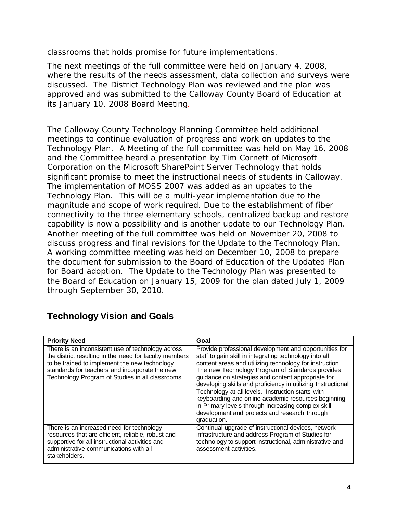classrooms that holds promise for future implementations.

The next meetings of the full committee were held on January 4, 2008, where the results of the needs assessment, data collection and surveys were discussed. The District Technology Plan was reviewed and the plan was approved and was submitted to the Calloway County Board of Education at its January 10, 2008 Board Meeting.

The Calloway County Technology Planning Committee held additional meetings to continue evaluation of progress and work on updates to the Technology Plan. A Meeting of the full committee was held on May 16, 2008 and the Committee heard a presentation by Tim Cornett of Microsoft Corporation on the Microsoft SharePoint Server Technology that holds significant promise to meet the instructional needs of students in Calloway. The implementation of MOSS 2007 was added as an updates to the Technology Plan. This will be a multi-year implementation due to the magnitude and scope of work required. Due to the establishment of fiber connectivity to the three elementary schools, centralized backup and restore capability is now a possibility and is another update to our Technology Plan. Another meeting of the full committee was held on November 20, 2008 to discuss progress and final revisions for the Update to the Technology Plan. A working committee meeting was held on December 10, 2008 to prepare the document for submission to the Board of Education of the Updated Plan for Board adoption. The Update to the Technology Plan was presented to the Board of Education on January 15, 2009 for the plan dated July 1, 2009 through September 30, 2010.

| <b>Priority Need</b>                                                                                                                                                                                                                                               | Goal                                                                                                                                                                                                                                                                                                                                                                                                                                                                                                                                                                                    |
|--------------------------------------------------------------------------------------------------------------------------------------------------------------------------------------------------------------------------------------------------------------------|-----------------------------------------------------------------------------------------------------------------------------------------------------------------------------------------------------------------------------------------------------------------------------------------------------------------------------------------------------------------------------------------------------------------------------------------------------------------------------------------------------------------------------------------------------------------------------------------|
| There is an inconsistent use of technology across<br>the district resulting in the need for faculty members<br>to be trained to implement the new technology<br>standards for teachers and incorporate the new<br>Technology Program of Studies in all classrooms. | Provide professional development and opportunities for<br>staff to gain skill in integrating technology into all<br>content areas and utilizing technology for instruction.<br>The new Technology Program of Standards provides<br>guidance on strategies and content appropriate for<br>developing skills and proficiency in utilizing Instructional<br>Technology at all levels. Instruction starts with<br>keyboarding and online academic resources beginning<br>in Primary levels through increasing complex skill<br>development and projects and research through<br>graduation. |
| There is an increased need for technology<br>resources that are efficient, reliable, robust and<br>supportive for all instructional activities and<br>administrative communications with all<br>stakeholders.                                                      | Continual upgrade of instructional devices, network<br>infrastructure and address Program of Studies for<br>technology to support instructional, administrative and<br>assessment activities.                                                                                                                                                                                                                                                                                                                                                                                           |

# **Technology Vision and Goals**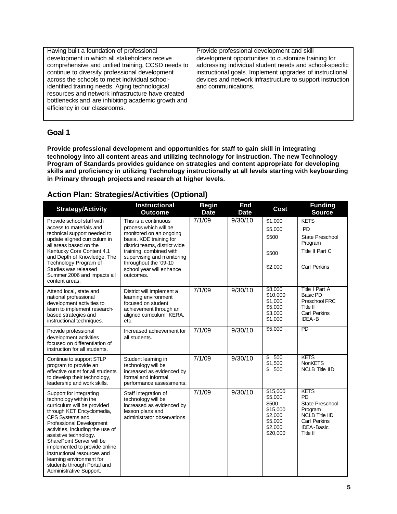| Having built a foundation of professional          | Provide professional development and skill                |
|----------------------------------------------------|-----------------------------------------------------------|
| development in which all stakeholders receive      | development opportunities to customize training for       |
| comprehensive and unified training, CCSD needs to  | addressing individual student needs and school-specific   |
| continue to diversify professional development     | instructional goals. Implement upgrades of instructional  |
| across the schools to meet individual school-      | devices and network infrastructure to support instruction |
| identified training needs. Aging technological     | and communications.                                       |
| resources and network infrastructure have created  |                                                           |
| bottlenecks and are inhibiting academic growth and |                                                           |
| efficiency in our classrooms.                      |                                                           |
|                                                    |                                                           |

## **Goal 1**

**Provide professional development and opportunities for staff to gain skill in integrating technology into all content areas and utilizing technology for instruction. The new Technology Program of Standards provides guidance on strategies and content appropriate for developing skills and proficiency in utilizing Technology instructionally at all levels starting with keyboarding in Primary through projects and research at higher levels.** 

## **Action Plan: Strategies/Activities (Optional)**

| <b>Strategy/Activity</b>                                                                                                                                                                                                                                                                                                                                                                                    | <b>Instructional</b><br><b>Outcome</b>                                                                                                                                                                                                                          | <b>Begin</b><br><b>Date</b> | End<br><b>Date</b> | Cost                                                                                  | <b>Funding</b><br><b>Source</b>                                                                                           |
|-------------------------------------------------------------------------------------------------------------------------------------------------------------------------------------------------------------------------------------------------------------------------------------------------------------------------------------------------------------------------------------------------------------|-----------------------------------------------------------------------------------------------------------------------------------------------------------------------------------------------------------------------------------------------------------------|-----------------------------|--------------------|---------------------------------------------------------------------------------------|---------------------------------------------------------------------------------------------------------------------------|
| Provide school staff with<br>access to materials and<br>technical support needed to<br>update aligned curriculum in<br>all areas based on the<br>Kentucky Core Content 4.1<br>and Depth of Knowledge. The<br>Technology Program of<br>Studies was released<br>Summer 2006 and impacts all<br>content areas.                                                                                                 | This is a continuous<br>process which will be<br>monitored on an ongoing<br>basis. KDE training for<br>district teams, district wide<br>training, combined with<br>supervising and monitoring<br>throughout the '09-10<br>school year will enhance<br>outcomes. | 7/1/09                      | 9/30/10            | \$1,000<br>\$5,000<br>\$500<br>\$500<br>\$2,000                                       | <b>KETS</b><br><b>PD</b><br>State Preschool<br>Program<br>Title II Part C<br>Carl Perkins                                 |
| Attend local, state and<br>national professional<br>development activities to<br>learn to implement research-<br>based strategies and<br>instructional techniques.                                                                                                                                                                                                                                          | District will implement a<br>learning environment<br>focused on student<br>achievement through an<br>aligned curriculum, KERA,<br>etc.                                                                                                                          | 7/1/09                      | 9/30/10            | \$8,000<br>\$10,000<br>\$1,000<br>\$5,000<br>\$3,000<br>\$1,000                       | Title I Part A<br>Basic PD<br>Preschool FRC<br>Title II<br><b>Carl Perkins</b><br><b>IDEA-B</b>                           |
| Provide professional<br>development activities<br>focused on differentiation of<br>instruction for all students.                                                                                                                                                                                                                                                                                            | Increased achievement for<br>all students.                                                                                                                                                                                                                      | 7/1/09                      | 9/30/10            | \$5,000                                                                               | PD                                                                                                                        |
| Continue to support STLP<br>program to provide an<br>effective outlet for all students<br>to develop their technology,<br>leadership and work skills.                                                                                                                                                                                                                                                       | Student learning in<br>technology will be<br>increased as evidenced by<br>formal and informal<br>performance assessments.                                                                                                                                       | 7/1/09                      | 9/30/10            | \$<br>500<br>\$1,500<br>\$<br>500                                                     | <b>KETS</b><br><b>NonKETS</b><br><b>NCLB Title IID</b>                                                                    |
| Support for integrating<br>technology within the<br>curriculum will be provided<br>through KET Encyclomedia,<br>CPS Systems and<br>Professional Development<br>activities, including the use of<br>assistive technology.<br>SharePoint Server will be<br>implemented to provide online<br>instructional resources and<br>learning environment for<br>students through Portal and<br>Administrative Support. | Staff integration of<br>technology will be<br>increased as evidenced by<br>lesson plans and<br>administrator observations                                                                                                                                       | 7/1/09                      | 9/30/10            | \$15,000<br>\$5,000<br>\$500<br>\$15,000<br>\$2,000<br>\$5,000<br>\$2,000<br>\$20,000 | <b>KETS</b><br>PD<br>State Preschool<br>Program<br>NCLB Title IID<br><b>Carl Perkins</b><br><b>IDEA-Basic</b><br>Title II |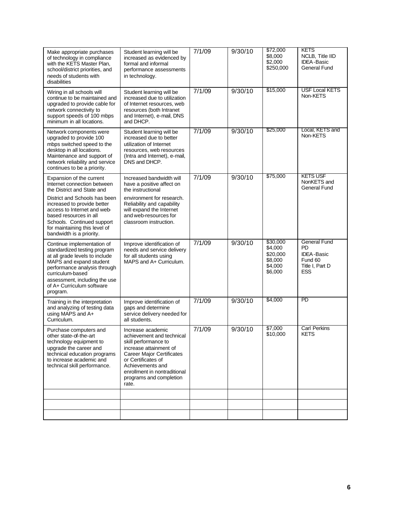| Make appropriate purchases<br>of technology in compliance<br>with the KETS Master Plan,<br>school/district priorities, and<br>needs of students with<br>disabilities                                                                                  | Student learning will be<br>increased as evidenced by<br>formal and informal<br>performance assessments<br>in technology.                                                                                                                          | 7/1/09 | 9/30/10             | \$72,000<br>\$8,000<br>\$2,000<br>\$250,000                      | <b>KETS</b><br>NCLB, Title IID<br><b>IDEA-Basic</b><br>General Fund                               |
|-------------------------------------------------------------------------------------------------------------------------------------------------------------------------------------------------------------------------------------------------------|----------------------------------------------------------------------------------------------------------------------------------------------------------------------------------------------------------------------------------------------------|--------|---------------------|------------------------------------------------------------------|---------------------------------------------------------------------------------------------------|
| Wiring in all schools will<br>continue to be maintained and<br>upgraded to provide cable for<br>network connectivity to<br>support speeds of 100 mbps<br>minimum in all locations.                                                                    | Student learning will be<br>increased due to utilization<br>of Internet resources, web<br>resources (both Intranet<br>and Internet), e-mail, DNS<br>and DHCP.                                                                                      | 7/1/09 | 9/30/10             | \$15,000                                                         | <b>USF Local KETS</b><br>Non-KETS                                                                 |
| Network components were<br>upgraded to provide 100<br>mbps switched speed to the<br>desktop in all locations.<br>Maintenance and support of<br>network reliability and service<br>continues to be a priority.                                         | Student learning will be<br>increased due to better<br>utilization of Internet<br>resources, web resources<br>(Intra and Internet), e-mail,<br>DNS and DHCP.                                                                                       | 7/1/09 | 9/30/10             | \$25,000                                                         | Local, KETS and<br>Non-KETS                                                                       |
| Expansion of the current<br>Internet connection between<br>the District and State and                                                                                                                                                                 | Increased bandwidth will<br>have a positive affect on<br>the instructional                                                                                                                                                                         | 7/1/09 | 9/30/10             | \$75,000                                                         | <b>KETS USF</b><br>NonKETS and<br>General Fund                                                    |
| District and Schools has been<br>increased to provide better<br>access to Internet and web-<br>based resources in all<br>Schools. Continued support<br>for maintaining this level of<br>bandwidth is a priority.                                      | environment for research.<br>Reliability and capability<br>will expand the Internet<br>and web-resources for<br>classroom instruction.                                                                                                             |        |                     |                                                                  |                                                                                                   |
| Continue implementation of<br>standardized testing program<br>at all grade levels to include<br>MAPS and expand student<br>performance analysis through<br>curriculum-based<br>assessment, including the use<br>of A+ Curriculum software<br>program. | Improve identification of<br>needs and service delivery<br>for all students using<br>MAPS and A+ Curriculum.                                                                                                                                       | 7/1/09 | 9/30/10             | \$30,000<br>\$4,000<br>\$20,000<br>\$8,000<br>\$4,000<br>\$6,000 | <b>General Fund</b><br><b>PD</b><br><b>IDEA-Basic</b><br>Fund 60<br>Title I, Part D<br><b>ESS</b> |
| Training in the interpretation<br>and analyzing of testing data<br>using MAPS and A+<br>Curriculum.                                                                                                                                                   | Improve identification of<br>gaps and determine<br>service delivery needed for<br>all students.                                                                                                                                                    | 7/1/09 | $\frac{1}{9/30/10}$ | \$4,000                                                          | PD                                                                                                |
| Purchase computers and<br>other state-of-the-art<br>technology equipment to<br>upgrade the career and<br>technical education programs<br>to increase academic and<br>technical skill performance.                                                     | Increase academic<br>achievement and technical<br>skill performance to<br>increase attainment of<br><b>Career Major Certificates</b><br>or Certificates of<br>Achievements and<br>enrollment in nontraditional<br>programs and completion<br>rate. | 7/1/09 | 9/30/10             | \$7,000<br>\$10,000                                              | <b>Carl Perkins</b><br><b>KETS</b>                                                                |
|                                                                                                                                                                                                                                                       |                                                                                                                                                                                                                                                    |        |                     |                                                                  |                                                                                                   |
|                                                                                                                                                                                                                                                       |                                                                                                                                                                                                                                                    |        |                     |                                                                  |                                                                                                   |
|                                                                                                                                                                                                                                                       |                                                                                                                                                                                                                                                    |        |                     |                                                                  |                                                                                                   |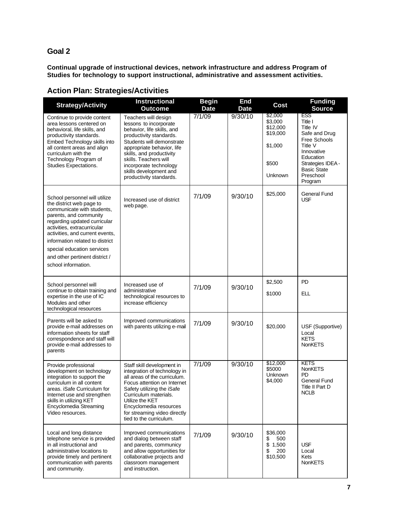### **Goal 2**

**Continual upgrade of instructional devices, network infrastructure and address Program of Studies for technology to support instructional, administrative and assessment activities.** 

|                                                                                                                                                                                                                                                                                                                                               | <b>Instructional</b>                                                                                                                                                                                                                                                                                   | <b>Begin</b> | End         |                                                                           | <b>Funding</b>                                                                                                                                                              |
|-----------------------------------------------------------------------------------------------------------------------------------------------------------------------------------------------------------------------------------------------------------------------------------------------------------------------------------------------|--------------------------------------------------------------------------------------------------------------------------------------------------------------------------------------------------------------------------------------------------------------------------------------------------------|--------------|-------------|---------------------------------------------------------------------------|-----------------------------------------------------------------------------------------------------------------------------------------------------------------------------|
| <b>Strategy/Activity</b>                                                                                                                                                                                                                                                                                                                      | <b>Outcome</b>                                                                                                                                                                                                                                                                                         | <b>Date</b>  | <b>Date</b> | Cost                                                                      | <b>Source</b>                                                                                                                                                               |
| Continue to provide content<br>area lessons centered on<br>behavioral, life skills, and<br>productivity standards.<br>Embed Technology skills into<br>all content areas and align<br>curriculum with the<br>Technology Program of<br>Studies Expectations.                                                                                    | Teachers will design<br>lessons to incorporate<br>behavior, life skills, and<br>productivity standards.<br>Students will demonstrate<br>appropriate behavior, life<br>skills, and productivity<br>skills. Teachers will<br>incorporate technology<br>skills development and<br>productivity standards. | 7/1/09       | 9/30/10     | \$2,000<br>\$3,000<br>\$12,000<br>\$19,000<br>\$1,000<br>\$500<br>Unknown | <b>ESS</b><br>Title I<br>Title IV<br>Safe and Drug<br>Free Schools<br>Title V<br>Innovative<br>Education<br>Strategies IDEA -<br><b>Basic State</b><br>Preschool<br>Program |
| School personnel will utilize<br>the district web page to<br>communicate with students,<br>parents, and community<br>regarding updated curricular<br>activities, extracurricular<br>activities, and current events,<br>information related to district<br>special education services<br>and other pertinent district /<br>school information. | Increased use of district<br>web page.                                                                                                                                                                                                                                                                 | 7/1/09       | 9/30/10     | \$25,000                                                                  | General Fund<br><b>USF</b>                                                                                                                                                  |
| School personnel will<br>continue to obtain training and<br>expertise in the use of IC<br>Modules and other<br>technological resources                                                                                                                                                                                                        | Increased use of<br>administrative<br>technological resources to<br>increase efficiency                                                                                                                                                                                                                | 7/1/09       | 9/30/10     | \$2,500<br>\$1000                                                         | <b>PD</b><br>ELL                                                                                                                                                            |
| Parents will be asked to<br>provide e-mail addresses on<br>information sheets for staff<br>correspondence and staff will<br>provide e-mail addresses to<br>parents                                                                                                                                                                            | Improved communications<br>with parents utilizing e-mail                                                                                                                                                                                                                                               | 7/1/09       | 9/30/10     | \$20,000                                                                  | USF (Supportive)<br>Local<br><b>KETS</b><br>NonKETS                                                                                                                         |
| Provide professional<br>development on technology<br>integration to support the<br>curriculum in all content<br>areas. iSafe Curriculum for<br>Internet use and strengthen<br>skills in utilizing KET<br>Encyclomedia Streaming<br>Video resources.                                                                                           | Staff skill development in<br>integration of technology in<br>all areas of the curriculum.<br>Focus attention on Internet<br>Safety utilizing the iSafe<br>Curriculum materials.<br>Utilize the KET<br>Encyclomedia resources<br>for streaming video directly<br>tied to the curriculum.               | 7/1/09       | 9/30/10     | \$12,000<br>\$5000<br>Unknown<br>\$4,000                                  | <b>KETS</b><br>NonKETS<br>PD<br>General Fund<br>Title II Part D<br><b>NCLB</b>                                                                                              |
| Local and long distance<br>telephone service is provided<br>in all instructional and<br>administrative locations to<br>provide timely and pertinent<br>communication with parents<br>and community.                                                                                                                                           | Improved communications<br>and dialog between staff<br>and parents, communicy<br>and allow opportunities for<br>collaborative projects and<br>classroom management<br>and instruction.                                                                                                                 | 7/1/09       | 9/30/10     | \$36,000<br>\$<br>500<br>\$1,500<br>\$<br>200<br>\$10,500                 | <b>USF</b><br>Local<br>Kets<br>NonKETS                                                                                                                                      |

## **Action Plan: Strategies/Activities**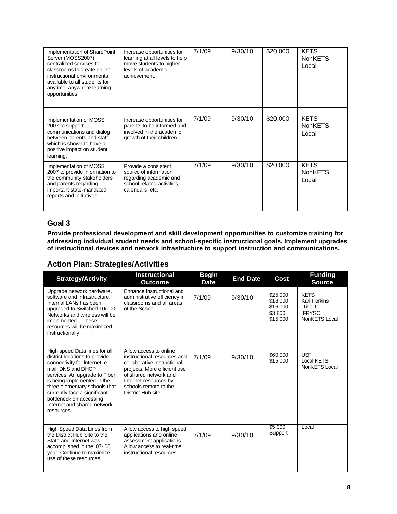| Implementation of SharePoint<br>Server (MOSS2007)<br>centralized services to<br>classrooms to create online<br>instructional environments<br>available to all students for<br>anytime, anywhere learning<br>opportunities. | Increase opportunities for<br>learning at all levels to help<br>move students to higher<br>levels of academic<br>achievement. | 7/1/09 | 9/30/10 | \$20,000 | <b>KETS</b><br><b>NonKETS</b><br>Local |
|----------------------------------------------------------------------------------------------------------------------------------------------------------------------------------------------------------------------------|-------------------------------------------------------------------------------------------------------------------------------|--------|---------|----------|----------------------------------------|
| Implementation of MOSS<br>2007 to support<br>communications and dialog<br>between parents and staff<br>which is shown to have a<br>positive impact on student<br>learning.                                                 | Increase opportunities for<br>parents to be informed and<br>involved in the academic<br>growth of their children.             | 7/1/09 | 9/30/10 | \$20,000 | <b>KETS</b><br><b>NonKETS</b><br>Local |
| Implementation of MOSS<br>2007 to provide information to<br>the community stakeholders<br>and parents regarding<br>important state-mandated<br>reports and initiatives.                                                    | Provide a consistent<br>source of information<br>regarding academic and<br>school related activities,<br>calendars, etc.      | 7/1/09 | 9/30/10 | \$20,000 | <b>KETS</b><br><b>NonKETS</b><br>Local |
|                                                                                                                                                                                                                            |                                                                                                                               |        |         |          |                                        |

## **Goal 3**

**Provide professional development and skill development opportunities to customize training for addressing individual student needs and school-specific instructional goals. Implement upgrades of instructional devices and network infrastructure to support instruction and communications.**

## **Action Plan: Strategies/Activities**

| <b>Strategy/Activity</b>                                                                                                                                                                                                                                                                                                       | <b>Instructional</b><br>Outcome                                                                                                                                                                                       | <b>Begin</b><br><b>Date</b> | <b>End Date</b> | Cost                                                    | <b>Funding</b><br><b>Source</b>                                                |
|--------------------------------------------------------------------------------------------------------------------------------------------------------------------------------------------------------------------------------------------------------------------------------------------------------------------------------|-----------------------------------------------------------------------------------------------------------------------------------------------------------------------------------------------------------------------|-----------------------------|-----------------|---------------------------------------------------------|--------------------------------------------------------------------------------|
| Upgrade network hardware,<br>software and infrastructure.<br>Internal LANs has been<br>upgraded to Switched 10/100<br>Networks and wireless will be<br>implemented. These<br>resources will be maximized<br>instructionally.                                                                                                   | Enhance instructional and<br>administrative efficiency in<br>classrooms and all areas<br>of the School.                                                                                                               | 7/1/09                      | 9/30/10         | \$25,000<br>\$18,000<br>\$16,000<br>\$3,800<br>\$15,000 | <b>KETS</b><br><b>Karl Perkins</b><br>Title I<br><b>FRYSC</b><br>NonKETS Local |
| High speed Data lines for all<br>district locations to provide<br>connectivity for Internet, e-<br>mail. DNS and DHCP<br>services. An upgrade to Fiber<br>is being implemented in the<br>three elementary schools that<br>currently face a significant<br>bottleneck on accessing<br>Internet and shared network<br>resources. | Allow access to online<br>instructional resources and<br>collaborative instructional<br>projects. More efficient use<br>of shared network and<br>Internet resources by<br>schools remote to the<br>District Hub site. | 7/1/09                      | 9/30/10         | \$60,000<br>\$15,000                                    | <b>USF</b><br><b>Local KETS</b><br>NonKETS Local                               |
| High Speed Data Lines from<br>the District Hub Site to the<br>State and Internet was<br>accomplished in the '07-'08<br>year. Continue to maximize<br>use of these resources.                                                                                                                                                   | Allow access to high speed<br>applications and online<br>assessment applications.<br>Allow access to real-time<br>instructional resources.                                                                            | 7/1/09                      | 9/30/10         | \$5,000<br>Support                                      | Local                                                                          |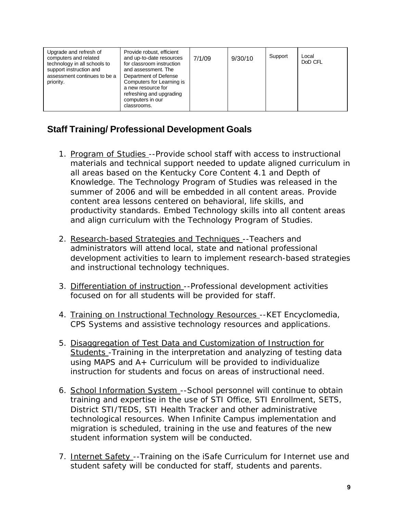| Upgrade and refresh of<br>Provide robust, efficient<br>computers and related<br>and up-to-date resources<br>technology in all schools to<br>for classroom instruction<br>support instruction and<br>and assessment. The<br>assessment continues to be a<br>Department of Defense<br>priority.<br>Computers for Learning is<br>a new resource for<br>refreshing and upgrading<br>computers in our<br>classrooms. | 7/1/09 | 9/30/10 | Support | Local<br>DoD CFL |
|-----------------------------------------------------------------------------------------------------------------------------------------------------------------------------------------------------------------------------------------------------------------------------------------------------------------------------------------------------------------------------------------------------------------|--------|---------|---------|------------------|
|-----------------------------------------------------------------------------------------------------------------------------------------------------------------------------------------------------------------------------------------------------------------------------------------------------------------------------------------------------------------------------------------------------------------|--------|---------|---------|------------------|

# **Staff Training/ Professional Development Goals**

- 1. Program of Studies --Provide school staff with access to instructional materials and technical support needed to update aligned curriculum in all areas based on the Kentucky Core Content 4.1 and Depth of Knowledge. The Technology Program of Studies was released in the summer of 2006 and will be embedded in all content areas. Provide content area lessons centered on behavioral, life skills, and productivity standards. Embed Technology skills into all content areas and align curriculum with the Technology Program of Studies.
- 2. Research-based Strategies and Techniques --Teachers and administrators will attend local, state and national professional development activities to learn to implement research-based strategies and instructional technology techniques.
- 3. Differentiation of instruction --Professional development activities focused on for all students will be provided for staff.
- 4. Training on Instructional Technology Resources -- KET Encyclomedia, CPS Systems and assistive technology resources and applications.
- 5. Disaggregation of Test Data and Customization of Instruction for Students - Training in the interpretation and analyzing of testing data using MAPS and A+ Curriculum will be provided to individualize instruction for students and focus on areas of instructional need.
- 6. School Information System --School personnel will continue to obtain training and expertise in the use of STI Office, STI Enrollment, SETS, District STI/TEDS, STI Health Tracker and other administrative technological resources. When Infinite Campus implementation and migration is scheduled, training in the use and features of the new student information system will be conducted.
- 7. Internet Safety --Training on the iSafe Curriculum for Internet use and student safety will be conducted for staff, students and parents.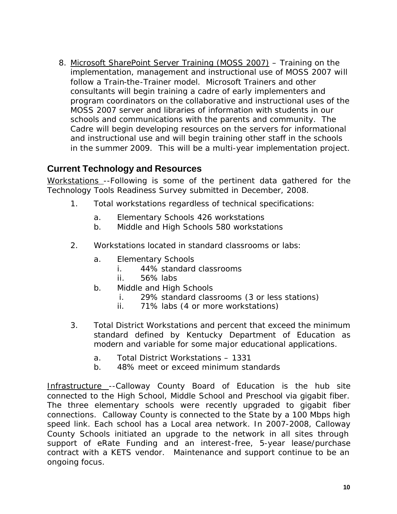8. Microsoft SharePoint Server Training (MOSS 2007) – Training on the implementation, management and instructional use of MOSS 2007 will follow a Train-the-Trainer model. Microsoft Trainers and other consultants will begin training a cadre of early implementers and program coordinators on the collaborative and instructional uses of the MOSS 2007 server and libraries of information with students in our schools and communications with the parents and community. The Cadre will begin developing resources on the servers for informational and instructional use and will begin training other staff in the schools in the summer 2009. This will be a multi-year implementation project.

# **Current Technology and Resources**

Workstations --Following is some of the pertinent data gathered for the Technology Tools Readiness Survey submitted in December, 2008.

- 1. Total workstations regardless of technical specifications:
	- a. Elementary Schools 426 workstations
	- b. Middle and High Schools 580 workstations
- 2. Workstations located in standard classrooms or labs:
	- a. Elementary Schools
		- i. 44% standard classrooms
		- ii. 56% labs
	- b. Middle and High Schools
		- i. 29% standard classrooms (3 or less stations)
		- ii. 71% labs (4 or more workstations)
- 3. Total District Workstations and percent that exceed the minimum standard defined by Kentucky Department of Education as modern and variable for some major educational applications.
	- a. Total District Workstations 1331
	- b. 48% meet or exceed minimum standards

Infrastructure --Calloway County Board of Education is the hub site connected to the High School, Middle School and Preschool via gigabit fiber. The three elementary schools were recently upgraded to gigabit fiber connections. Calloway County is connected to the State by a 100 Mbps high speed link. Each school has a Local area network. In 2007-2008, Calloway County Schools initiated an upgrade to the network in all sites through support of eRate Funding and an interest-free, 5-year lease/purchase contract with a KETS vendor. Maintenance and support continue to be an ongoing focus.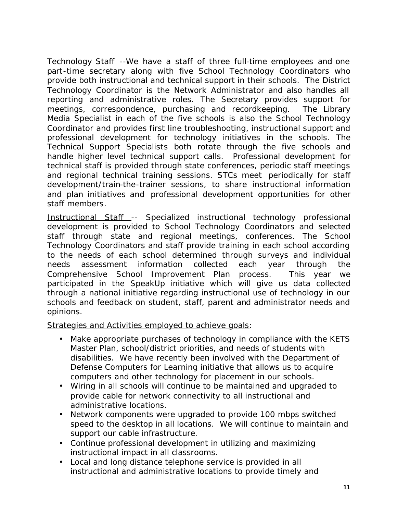Technology Staff --We have a staff of three full-time employees and one part-time secretary along with five School Technology Coordinators who provide both instructional and technical support in their schools. The District Technology Coordinator is the Network Administrator and also handles all reporting and administrative roles. The Secretary provides support for meetings, correspondence, purchasing and recordkeeping. The Library Media Specialist in each of the five schools is also the School Technology Coordinator and provides first line troubleshooting, instructional support and professional development for technology initiatives in the schools. The Technical Support Specialists both rotate through the five schools and handle higher level technical support calls. Professional development for technical staff is provided through state conferences, periodic staff meetings and regional technical training sessions. STCs meet periodically for staff development/train-the-trainer sessions, to share instructional information and plan initiatives and professional development opportunities for other staff members.

Instructional Staff -- Specialized instructional technology professional development is provided to School Technology Coordinators and selected staff through state and regional meetings, conferences. The School Technology Coordinators and staff provide training in each school according to the needs of each school determined through surveys and individual needs assessment information collected each year through the Comprehensive School Improvement Plan process. This year we participated in the SpeakUp initiative which will give us data collected through a national initiative regarding instructional use of technology in our schools and feedback on student, staff, parent and administrator needs and opinions.

Strategies and Activities employed to achieve goals:

- Make appropriate purchases of technology in compliance with the KETS Master Plan, school/district priorities, and needs of students with disabilities. We have recently been involved with the Department of Defense Computers for Learning initiative that allows us to acquire computers and other technology for placement in our schools.
- Wiring in all schools will continue to be maintained and upgraded to provide cable for network connectivity to all instructional and administrative locations.
- Network components were upgraded to provide 100 mbps switched speed to the desktop in all locations. We will continue to maintain and support our cable infrastructure.
- Continue professional development in utilizing and maximizing instructional impact in all classrooms.
- Local and long distance telephone service is provided in all instructional and administrative locations to provide timely and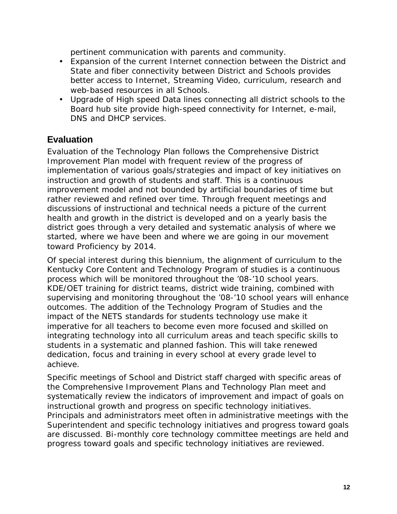pertinent communication with parents and community.

- Expansion of the current Internet connection between the District and State and fiber connectivity between District and Schools provides better access to Internet, Streaming Video, curriculum, research and web-based resources in all Schools.
- Upgrade of High speed Data lines connecting all district schools to the Board hub site provide high-speed connectivity for Internet, e-mail, DNS and DHCP services.

## **Evaluation**

Evaluation of the Technology Plan follows the Comprehensive District Improvement Plan model with frequent review of the progress of implementation of various goals/strategies and impact of key initiatives on instruction and growth of students and staff. This is a continuous improvement model and not bounded by artificial boundaries of time but rather reviewed and refined over time. Through frequent meetings and discussions of instructional and technical needs a picture of the current health and growth in the district is developed and on a yearly basis the district goes through a very detailed and systematic analysis of where we started, where we have been and where we are going in our movement toward Proficiency by 2014.

Of special interest during this biennium, the alignment of curriculum to the Kentucky Core Content and Technology Program of studies is a continuous process which will be monitored throughout the '08-'10 school years. KDE/OET training for district teams, district wide training, combined with supervising and monitoring throughout the '08-'10 school years will enhance outcomes. The addition of the Technology Program of Studies and the impact of the NETS standards for students technology use make it imperative for all teachers to become even more focused and skilled on integrating technology into all curriculum areas and teach specific skills to students in a systematic and planned fashion. This will take renewed dedication, focus and training in every school at every grade level to achieve.

Specific meetings of School and District staff charged with specific areas of the Comprehensive Improvement Plans and Technology Plan meet and systematically review the indicators of improvement and impact of goals on instructional growth and progress on specific technology initiatives. Principals and administrators meet often in administrative meetings with the Superintendent and specific technology initiatives and progress toward goals are discussed. Bi-monthly core technology committee meetings are held and progress toward goals and specific technology initiatives are reviewed.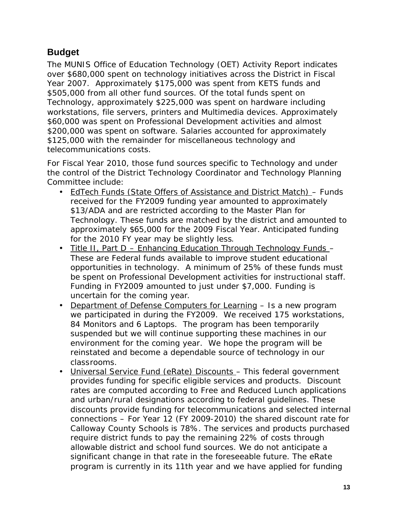# **Budget**

The MUNIS Office of Education Technology (OET) Activity Report indicates over \$680,000 spent on technology initiatives across the District in Fiscal Year 2007. Approximately \$175,000 was spent from KETS funds and \$505,000 from all other fund sources. Of the total funds spent on Technology, approximately \$225,000 was spent on hardware including workstations, file servers, printers and Multimedia devices. Approximately \$60,000 was spent on Professional Development activities and almost \$200,000 was spent on software. Salaries accounted for approximately \$125,000 with the remainder for miscellaneous technology and telecommunications costs.

For Fiscal Year 2010, those fund sources specific to Technology and under the control of the District Technology Coordinator and Technology Planning Committee include:

- EdTech Funds (State Offers of Assistance and District Match) Funds received for the FY2009 funding year amounted to approximately \$13/ADA and are restricted according to the Master Plan for Technology. These funds are matched by the district and amounted to approximately \$65,000 for the 2009 Fiscal Year. Anticipated funding for the 2010 FY year may be slightly less.
- Title II, Part D Enhancing Education Through Technology Funds -These are Federal funds available to improve student educational opportunities in technology. A minimum of 25% of these funds must be spent on Professional Development activities for instructional staff. Funding in FY2009 amounted to just under \$7,000. Funding is uncertain for the coming year.
- Department of Defense Computers for Learning Is a new program we participated in during the FY2009. We received 175 workstations, 84 Monitors and 6 Laptops. The program has been temporarily suspended but we will continue supporting these machines in our environment for the coming year. We hope the program will be reinstated and become a dependable source of technology in our classrooms.
- Universal Service Fund (eRate) Discounts This federal government provides funding for specific eligible services and products. Discount rates are computed according to Free and Reduced Lunch applications and urban/rural designations according to federal guidelines. These discounts provide funding for telecommunications and selected internal connections – For Year 12 (FY 2009-2010) the shared discount rate for Calloway County Schools is 78%. The services and products purchased require district funds to pay the remaining 22% of costs through allowable district and school fund sources. We do not anticipate a significant change in that rate in the foreseeable future. The eRate program is currently in its 11th year and we have applied for funding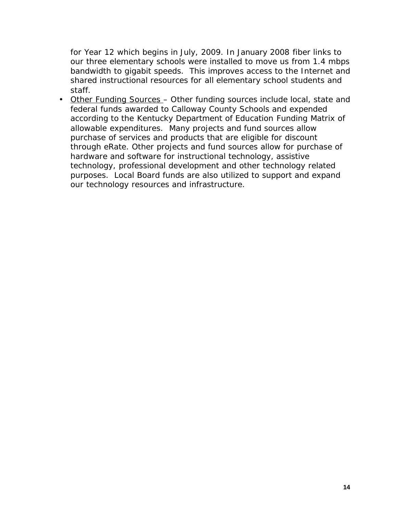for Year 12 which begins in July, 2009. In January 2008 fiber links to our three elementary schools were installed to move us from 1.4 mbps bandwidth to gigabit speeds. This improves access to the Internet and shared instructional resources for all elementary school students and staff.

• Other Funding Sources – Other funding sources include local, state and federal funds awarded to Calloway County Schools and expended according to the Kentucky Department of Education Funding Matrix of allowable expenditures. Many projects and fund sources allow purchase of services and products that are eligible for discount through eRate. Other projects and fund sources allow for purchase of hardware and software for instructional technology, assistive technology, professional development and other technology related purposes. Local Board funds are also utilized to support and expand our technology resources and infrastructure.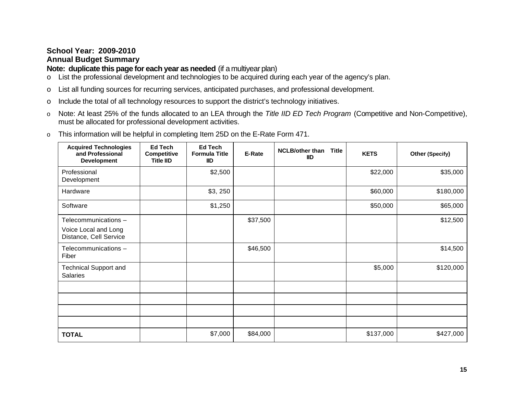#### **School Year: 2009-2010 Annual Budget Summary**

# **Note: duplicate this page for each year as needed** (if a multiyear plan)

- o List the professional development and technologies to be acquired during each year of the agency's plan.
- o List all funding sources for recurring services, anticipated purchases, and professional development.
- o Include the total of all technology resources to support the district's technology initiatives.
- o Note: At least 25% of the funds allocated to an LEA through the *Title IID ED Tech Program* (Competitive and Non-Competitive), must be allocated for professional development activities.

|  |  | This information will be helpful in completing Item 25D on the E-Rate Form 471. |
|--|--|---------------------------------------------------------------------------------|
|  |  |                                                                                 |

| <b>Acquired Technologies</b><br>and Professional<br><b>Development</b> | <b>Ed Tech</b><br><b>Competitive</b><br><b>Title IID</b> | <b>Ed Tech</b><br><b>Formula Title</b><br><b>IID</b> | E-Rate   | <b>NCLB/other than</b><br><b>Title</b><br><b>IID</b> | <b>KETS</b> | Other (Specify) |
|------------------------------------------------------------------------|----------------------------------------------------------|------------------------------------------------------|----------|------------------------------------------------------|-------------|-----------------|
| Professional<br>Development                                            |                                                          | \$2,500                                              |          |                                                      | \$22,000    | \$35,000        |
| Hardware                                                               |                                                          | \$3,250                                              |          |                                                      | \$60,000    | \$180,000       |
| Software                                                               |                                                          | \$1,250                                              |          |                                                      | \$50,000    | \$65,000        |
| Telecommunications -                                                   |                                                          |                                                      | \$37,500 |                                                      |             | \$12,500        |
| Voice Local and Long<br>Distance, Cell Service                         |                                                          |                                                      |          |                                                      |             |                 |
| Telecommunications -<br>Fiber                                          |                                                          |                                                      | \$46,500 |                                                      |             | \$14,500        |
| <b>Technical Support and</b><br><b>Salaries</b>                        |                                                          |                                                      |          |                                                      | \$5,000     | \$120,000       |
|                                                                        |                                                          |                                                      |          |                                                      |             |                 |
|                                                                        |                                                          |                                                      |          |                                                      |             |                 |
|                                                                        |                                                          |                                                      |          |                                                      |             |                 |
|                                                                        |                                                          |                                                      |          |                                                      |             |                 |
| <b>TOTAL</b>                                                           |                                                          | \$7,000                                              | \$84,000 |                                                      | \$137,000   | \$427,000       |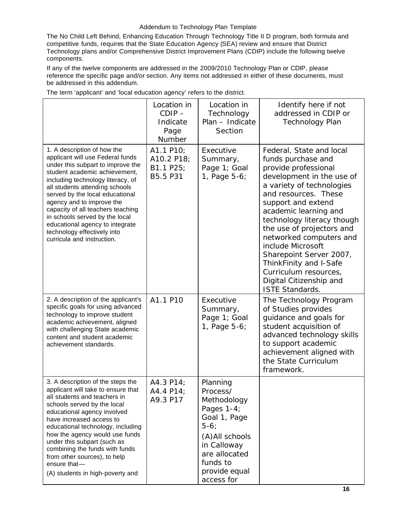#### Addendum to Technology Plan Template

The No Child Left Behind, Enhancing Education Through Technology Title II D program, both formula and competitive funds, requires that the State Education Agency (SEA) review and ensure that District Technology plans and/or Comprehensive District Improvement Plans (CDIP) include the following twelve components.

If any of the twelve components are addressed in the 2009/2010 Technology Plan or CDIP, please reference the specific page and/or section. Any items not addressed in either of these documents, must be addressed in this addendum.

|                                                                                                                                                                                                                                                                                                                                                                                                                                                     | Location in<br>$CDIP -$<br>Indicate<br>Page<br>Number | Location in<br>Technology<br>Plan - Indicate<br>Section                                                                                                                      | Identify here if not<br>addressed in CDIP or<br><b>Technology Plan</b>                                                                                                                                                                                                                                                                                                                                                                                |
|-----------------------------------------------------------------------------------------------------------------------------------------------------------------------------------------------------------------------------------------------------------------------------------------------------------------------------------------------------------------------------------------------------------------------------------------------------|-------------------------------------------------------|------------------------------------------------------------------------------------------------------------------------------------------------------------------------------|-------------------------------------------------------------------------------------------------------------------------------------------------------------------------------------------------------------------------------------------------------------------------------------------------------------------------------------------------------------------------------------------------------------------------------------------------------|
| 1. A description of how the<br>applicant will use Federal funds<br>under this subpart to improve the<br>student academic achievement,<br>including technology literacy, of<br>all students attending schools<br>served by the local educational<br>agency and to improve the<br>capacity of all teachers teaching<br>in schools served by the local<br>educational agency to integrate<br>technology effectively into<br>curricula and instruction. | A1.1 P10;<br>A10.2 P18;<br>B1.1 P25;<br>B5.5 P31      | Executive<br>Summary,<br>Page 1; Goal<br>1, Page 5-6;                                                                                                                        | Federal, State and local<br>funds purchase and<br>provide professional<br>development in the use of<br>a variety of technologies<br>and resources. These<br>support and extend<br>academic learning and<br>technology literacy though<br>the use of projectors and<br>networked computers and<br>include Microsoft<br>Sharepoint Server 2007,<br>ThinkFinity and I-Safe<br>Curriculum resources,<br>Digital Citizenship and<br><b>ISTE Standards.</b> |
| 2. A description of the applicant's<br>specific goals for using advanced<br>technology to improve student<br>academic achievement, aligned<br>with challenging State academic<br>content and student academic<br>achievement standards.                                                                                                                                                                                                             | A1.1 P10                                              | Executive<br>Summary,<br>Page 1; Goal<br>1, Page 5-6;                                                                                                                        | The Technology Program<br>of Studies provides<br>guidance and goals for<br>student acquisition of<br>advanced technology skills<br>to support academic<br>achievement aligned with<br>the State Curriculum<br>framework.                                                                                                                                                                                                                              |
| 3. A description of the steps the<br>applicant will take to ensure that<br>all students and teachers in<br>schools served by the local<br>educational agency involved<br>have increased access to<br>educational technology, including<br>how the agency would use funds<br>under this subpart (such as<br>combining the funds with funds<br>from other sources), to help<br>ensure that-<br>(A) students in high-poverty and                       | A4.3 P14;<br>A4.4 P14;<br>A9.3 P17                    | Planning<br>Process/<br>Methodology<br>Pages $1-4$ ;<br>Goal 1, Page<br>$5-6;$<br>(A) All schools<br>in Calloway<br>are allocated<br>funds to<br>provide equal<br>access for |                                                                                                                                                                                                                                                                                                                                                                                                                                                       |

The term 'applicant' and 'local education agency' refers to the district.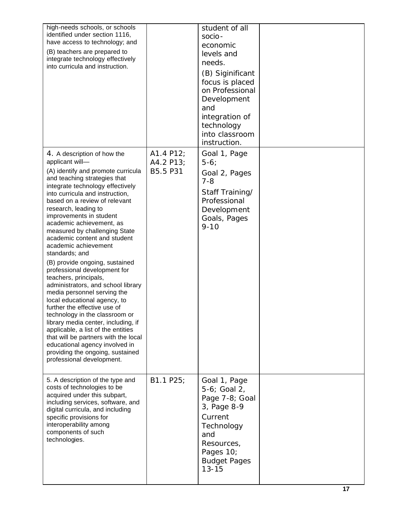| high-needs schools, or schools<br>identified under section 1116,<br>have access to technology; and<br>(B) teachers are prepared to<br>integrate technology effectively<br>into curricula and instruction.                                                                                                                                                                                                                                                                                                                                                                                                                                                                                                                                                                                                                                                                                                        |                                    | student of all<br>socio-<br>economic<br>levels and<br>needs.<br>(B) Siginificant<br>focus is placed<br>on Professional<br>Development<br>and<br>integration of<br>technology<br>into classroom<br>instruction. |  |
|------------------------------------------------------------------------------------------------------------------------------------------------------------------------------------------------------------------------------------------------------------------------------------------------------------------------------------------------------------------------------------------------------------------------------------------------------------------------------------------------------------------------------------------------------------------------------------------------------------------------------------------------------------------------------------------------------------------------------------------------------------------------------------------------------------------------------------------------------------------------------------------------------------------|------------------------------------|----------------------------------------------------------------------------------------------------------------------------------------------------------------------------------------------------------------|--|
| 4. A description of how the<br>applicant will-<br>(A) identify and promote curricula<br>and teaching strategies that<br>integrate technology effectively<br>into curricula and instruction,<br>based on a review of relevant<br>research, leading to<br>improvements in student<br>academic achievement, as<br>measured by challenging State<br>academic content and student<br>academic achievement<br>standards; and<br>(B) provide ongoing, sustained<br>professional development for<br>teachers, principals,<br>administrators, and school library<br>media personnel serving the<br>local educational agency, to<br>further the effective use of<br>technology in the classroom or<br>library media center, including, if<br>applicable, a list of the entities<br>that will be partners with the local<br>educational agency involved in<br>providing the ongoing, sustained<br>professional development. | A1.4 P12;<br>A4.2 P13;<br>B5.5 P31 | Goal 1, Page<br>$5-6$<br>Goal 2, Pages<br>$7 - 8$<br>Staff Training/<br>Professional<br>Development<br>Goals, Pages<br>$9 - 10$                                                                                |  |
| 5. A description of the type and<br>costs of technologies to be<br>acquired under this subpart,<br>including services, software, and<br>digital curricula, and including<br>specific provisions for<br>interoperability among<br>components of such<br>technologies.                                                                                                                                                                                                                                                                                                                                                                                                                                                                                                                                                                                                                                             | B1.1 P25;                          | Goal 1, Page<br>5-6; Goal 2,<br>Page 7-8; Goal<br>3, Page 8-9<br>Current<br>Technology<br>and<br>Resources,<br>Pages 10;<br><b>Budget Pages</b><br>$13 - 15$                                                   |  |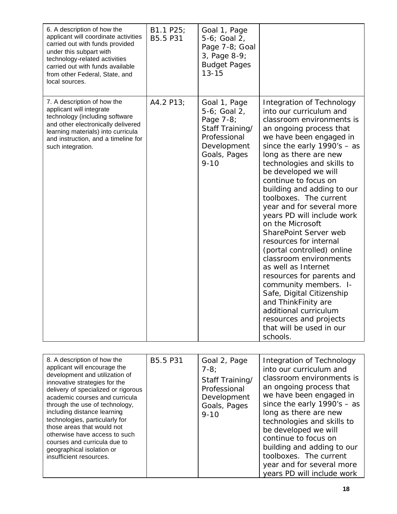| 6. A description of how the<br>applicant will coordinate activities<br>carried out with funds provided<br>under this subpart with<br>technology-related activities<br>carried out with funds available<br>from other Federal, State, and<br>local sources. | B1.1 P25;<br>B5.5 P31 | Goal 1, Page<br>5-6; Goal 2,<br>Page 7-8; Goal<br>3, Page 8-9;<br><b>Budget Pages</b><br>$13 - 15$                      |                                                                                                                                                                                                                                                                                                                                                                                                                                                                                                                                                                                                                                                                                                                                                                      |
|------------------------------------------------------------------------------------------------------------------------------------------------------------------------------------------------------------------------------------------------------------|-----------------------|-------------------------------------------------------------------------------------------------------------------------|----------------------------------------------------------------------------------------------------------------------------------------------------------------------------------------------------------------------------------------------------------------------------------------------------------------------------------------------------------------------------------------------------------------------------------------------------------------------------------------------------------------------------------------------------------------------------------------------------------------------------------------------------------------------------------------------------------------------------------------------------------------------|
| 7. A description of how the<br>applicant will integrate<br>technology (including software<br>and other electronically delivered<br>learning materials) into curricula<br>and instruction, and a timeline for<br>such integration.                          | A4.2 P13;             | Goal 1, Page<br>5-6; Goal 2,<br>Page 7-8;<br>Staff Training/<br>Professional<br>Development<br>Goals, Pages<br>$9 - 10$ | Integration of Technology<br>into our curriculum and<br>classroom environments is<br>an ongoing process that<br>we have been engaged in<br>since the early $1990's - as$<br>long as there are new<br>technologies and skills to<br>be developed we will<br>continue to focus on<br>building and adding to our<br>toolboxes. The current<br>year and for several more<br>years PD will include work<br>on the Microsoft<br><b>SharePoint Server web</b><br>resources for internal<br>(portal controlled) online<br>classroom environments<br>as well as Internet<br>resources for parents and<br>community members. I-<br>Safe, Digital Citizenship<br>and ThinkFinity are<br>additional curriculum<br>resources and projects<br>that will be used in our<br>schools. |

| 8. A description of how the<br>applicant will encourage the<br>development and utilization of<br>innovative strategies for the<br>delivery of specialized or rigorous<br>academic courses and curricula<br>through the use of technology,<br>including distance learning<br>technologies, particularly for<br>those areas that would not<br>otherwise have access to such<br>courses and curricula due to<br>geographical isolation or<br>insufficient resources. | B5.5 P31 | Goal 2, Page<br>$7-8;$<br>Staff Training/<br>Professional<br>Development<br>Goals, Pages<br>$9 - 10$ | Integration of Technology<br>into our curriculum and<br>classroom environments is<br>an ongoing process that<br>we have been engaged in<br>since the early $1990's - as$<br>long as there are new<br>technologies and skills to<br>be developed we will<br>continue to focus on<br>building and adding to our<br>toolboxes. The current<br>year and for several more<br>years PD will include work |
|-------------------------------------------------------------------------------------------------------------------------------------------------------------------------------------------------------------------------------------------------------------------------------------------------------------------------------------------------------------------------------------------------------------------------------------------------------------------|----------|------------------------------------------------------------------------------------------------------|----------------------------------------------------------------------------------------------------------------------------------------------------------------------------------------------------------------------------------------------------------------------------------------------------------------------------------------------------------------------------------------------------|
|-------------------------------------------------------------------------------------------------------------------------------------------------------------------------------------------------------------------------------------------------------------------------------------------------------------------------------------------------------------------------------------------------------------------------------------------------------------------|----------|------------------------------------------------------------------------------------------------------|----------------------------------------------------------------------------------------------------------------------------------------------------------------------------------------------------------------------------------------------------------------------------------------------------------------------------------------------------------------------------------------------------|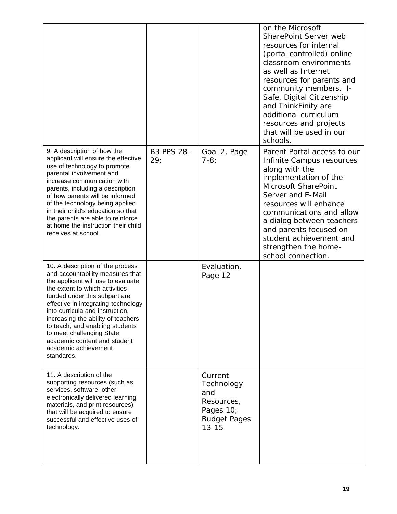|                                                                                                                                                                                                                                                                                                                                                                                                                                     |                          |                                                                                             | on the Microsoft<br>SharePoint Server web<br>resources for internal<br>(portal controlled) online<br>classroom environments<br>as well as Internet<br>resources for parents and<br>community members. I-<br>Safe, Digital Citizenship<br>and ThinkFinity are<br>additional curriculum<br>resources and projects<br>that will be used in our<br>schools. |
|-------------------------------------------------------------------------------------------------------------------------------------------------------------------------------------------------------------------------------------------------------------------------------------------------------------------------------------------------------------------------------------------------------------------------------------|--------------------------|---------------------------------------------------------------------------------------------|---------------------------------------------------------------------------------------------------------------------------------------------------------------------------------------------------------------------------------------------------------------------------------------------------------------------------------------------------------|
| 9. A description of how the<br>applicant will ensure the effective<br>use of technology to promote<br>parental involvement and<br>increase communication with<br>parents, including a description<br>of how parents will be informed<br>of the technology being applied<br>in their child's education so that<br>the parents are able to reinforce<br>at home the instruction their child<br>receives at school.                    | <b>B3 PPS 28-</b><br>29; | Goal 2, Page<br>$7-8;$                                                                      | Parent Portal access to our<br>Infinite Campus resources<br>along with the<br>implementation of the<br>Microsoft SharePoint<br>Server and E-Mail<br>resources will enhance<br>communications and allow<br>a dialog between teachers<br>and parents focused on<br>student achievement and<br>strengthen the home-<br>school connection.                  |
| 10. A description of the process<br>and accountability measures that<br>the applicant will use to evaluate<br>the extent to which activities<br>funded under this subpart are<br>effective in integrating technology<br>into curricula and instruction,<br>increasing the ability of teachers<br>to teach, and enabling students<br>to meet challenging State<br>academic content and student<br>academic achievement<br>standards. |                          | Evaluation,<br>Page 12                                                                      |                                                                                                                                                                                                                                                                                                                                                         |
| 11. A description of the<br>supporting resources (such as<br>services, software, other<br>electronically delivered learning<br>materials, and print resources)<br>that will be acquired to ensure<br>successful and effective uses of<br>technology.                                                                                                                                                                                |                          | Current<br>Technology<br>and<br>Resources,<br>Pages 10;<br><b>Budget Pages</b><br>$13 - 15$ |                                                                                                                                                                                                                                                                                                                                                         |